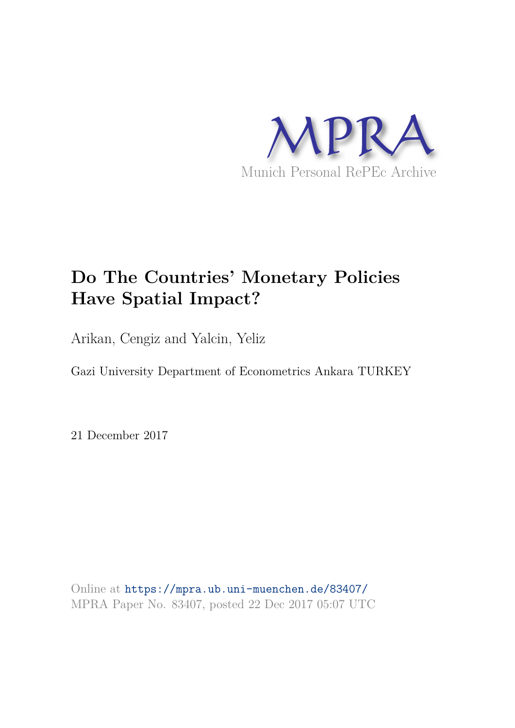

# **Do The Countries' Monetary Policies Have Spatial Impact?**

Arikan, Cengiz and Yalcin, Yeliz

Gazi University Department of Econometrics Ankara TURKEY

21 December 2017

Online at https://mpra.ub.uni-muenchen.de/83407/ MPRA Paper No. 83407, posted 22 Dec 2017 05:07 UTC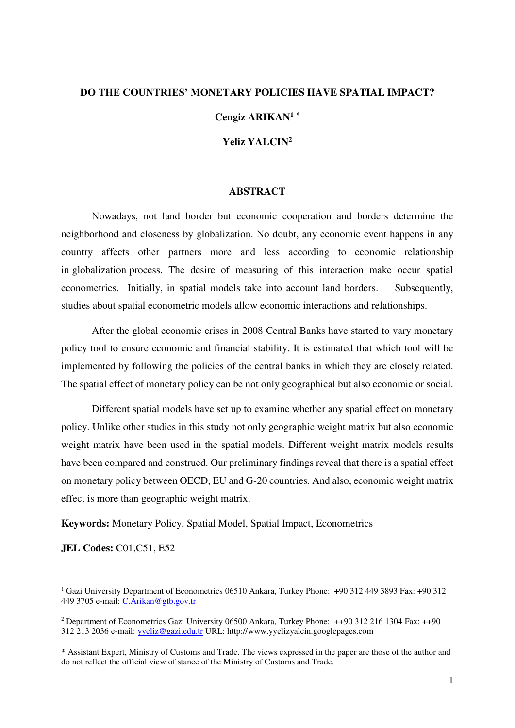# **DO THE COUNTRIES' MONETARY POLICIES HAVE SPATIAL IMPACT?**

# **Cengiz ARIKAN<sup>1</sup> \***

# **Yeliz YALCIN<sup>2</sup>**

#### **ABSTRACT**

Nowadays, not land border but economic cooperation and borders determine the neighborhood and closeness by globalization. No doubt, any economic event happens in any country affects other partners more and less according to economic relationship in globalization process. The desire of measuring of this interaction make occur spatial econometrics. Initially, in spatial models take into account land borders. Subsequently, studies about spatial econometric models allow economic interactions and relationships.

After the global economic crises in 2008 Central Banks have started to vary monetary policy tool to ensure economic and financial stability. It is estimated that which tool will be implemented by following the policies of the central banks in which they are closely related. The spatial effect of monetary policy can be not only geographical but also economic or social.

Different spatial models have set up to examine whether any spatial effect on monetary policy. Unlike other studies in this study not only geographic weight matrix but also economic weight matrix have been used in the spatial models. Different weight matrix models results have been compared and construed. Our preliminary findings reveal that there is a spatial effect on monetary policy between OECD, EU and G-20 countries. And also, economic weight matrix effect is more than geographic weight matrix.

**Keywords:** Monetary Policy, Spatial Model, Spatial Impact, Econometrics

**JEL Codes:** C01,C51, E52

 $\overline{a}$ 

<sup>1</sup> Gazi University Department of Econometrics 06510 Ankara, Turkey Phone: +90 312 449 3893 Fax: +90 312 449 3705 e-mail: [C.Arikan@gtb.gov.tr](mailto:C.Arikan@gtb.gov.tr) 

<sup>2</sup> Department of Econometrics Gazi University 06500 Ankara, Turkey Phone: ++90 312 216 1304 Fax: ++90 312 213 2036 e-mail: [yyeliz@gazi.edu.tr](mailto:yyeliz@gazi.edu.tr) URL: http://www.yyelizyalcin.googlepages.com

<sup>\*</sup> Assistant Expert, Ministry of Customs and Trade. The views expressed in the paper are those of the author and do not reflect the official view of stance of the Ministry of Customs and Trade.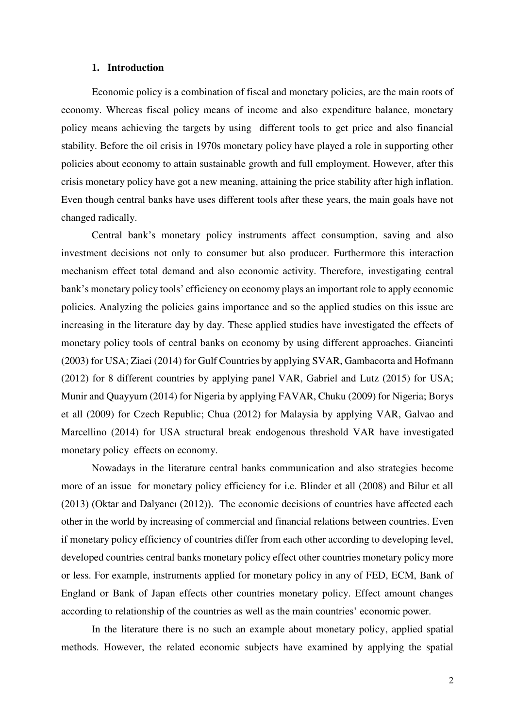#### **1. Introduction**

Economic policy is a combination of fiscal and monetary policies, are the main roots of economy. Whereas fiscal policy means of income and also expenditure balance, monetary policy means achieving the targets by using different tools to get price and also financial stability. Before the oil crisis in 1970s monetary policy have played a role in supporting other policies about economy to attain sustainable growth and full employment. However, after this crisis monetary policy have got a new meaning, attaining the price stability after high inflation. Even though central banks have uses different tools after these years, the main goals have not changed radically.

Central bank's monetary policy instruments affect consumption, saving and also investment decisions not only to consumer but also producer. Furthermore this interaction mechanism effect total demand and also economic activity. Therefore, investigating central bank's monetary policy tools' efficiency on economy plays an important role to apply economic policies. Analyzing the policies gains importance and so the applied studies on this issue are increasing in the literature day by day. These applied studies have investigated the effects of monetary policy tools of central banks on economy by using different approaches. Giancinti (2003) for USA; Ziaei (2014) for Gulf Countries by applying SVAR, Gambacorta and Hofmann (2012) for 8 different countries by applying panel VAR, Gabriel and Lutz (2015) for USA; Munir and Quayyum (2014) for Nigeria by applying FAVAR, Chuku (2009) for Nigeria; Borys et all (2009) for Czech Republic; Chua (2012) for Malaysia by applying VAR, Galvao and Marcellino (2014) for USA structural break endogenous threshold VAR have investigated monetary policy effects on economy.

Nowadays in the literature central banks communication and also strategies become more of an issue for monetary policy efficiency for i.e. Blinder et all (2008) and Bilur et all (2013) (Oktar and Dalyancı (2012)). The economic decisions of countries have affected each other in the world by increasing of commercial and financial relations between countries. Even if monetary policy efficiency of countries differ from each other according to developing level, developed countries central banks monetary policy effect other countries monetary policy more or less. For example, instruments applied for monetary policy in any of FED, ECM, Bank of England or Bank of Japan effects other countries monetary policy. Effect amount changes according to relationship of the countries as well as the main countries' economic power.

In the literature there is no such an example about monetary policy, applied spatial methods. However, the related economic subjects have examined by applying the spatial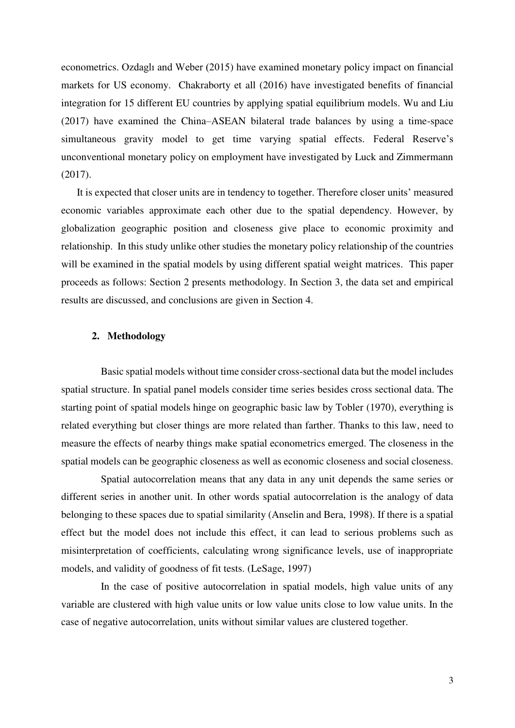econometrics. Ozdaglı and Weber (2015) have examined monetary policy impact on financial markets for US economy. Chakraborty et all (2016) have investigated benefits of financial integration for 15 different EU countries by applying spatial equilibrium models. Wu and Liu (2017) have examined the China–ASEAN bilateral trade balances by using a time-space simultaneous gravity model to get time varying spatial effects. Federal Reserve's unconventional monetary policy on employment have investigated by Luck and Zimmermann (2017).

It is expected that closer units are in tendency to together. Therefore closer units' measured economic variables approximate each other due to the spatial dependency. However, by globalization geographic position and closeness give place to economic proximity and relationship. In this study unlike other studies the monetary policy relationship of the countries will be examined in the spatial models by using different spatial weight matrices. This paper proceeds as follows: Section 2 presents methodology. In Section 3, the data set and empirical results are discussed, and conclusions are given in Section 4.

# **2. Methodology**

 Basic spatial models without time consider cross-sectional data but the model includes spatial structure. In spatial panel models consider time series besides cross sectional data. The starting point of spatial models hinge on geographic basic law by Tobler (1970), everything is related everything but closer things are more related than farther. Thanks to this law, need to measure the effects of nearby things make spatial econometrics emerged. The closeness in the spatial models can be geographic closeness as well as economic closeness and social closeness.

 Spatial autocorrelation means that any data in any unit depends the same series or different series in another unit. In other words spatial autocorrelation is the analogy of data belonging to these spaces due to spatial similarity (Anselin and Bera, 1998). If there is a spatial effect but the model does not include this effect, it can lead to serious problems such as misinterpretation of coefficients, calculating wrong significance levels, use of inappropriate models, and validity of goodness of fit tests. (LeSage, 1997)

 In the case of positive autocorrelation in spatial models, high value units of any variable are clustered with high value units or low value units close to low value units. In the case of negative autocorrelation, units without similar values are clustered together.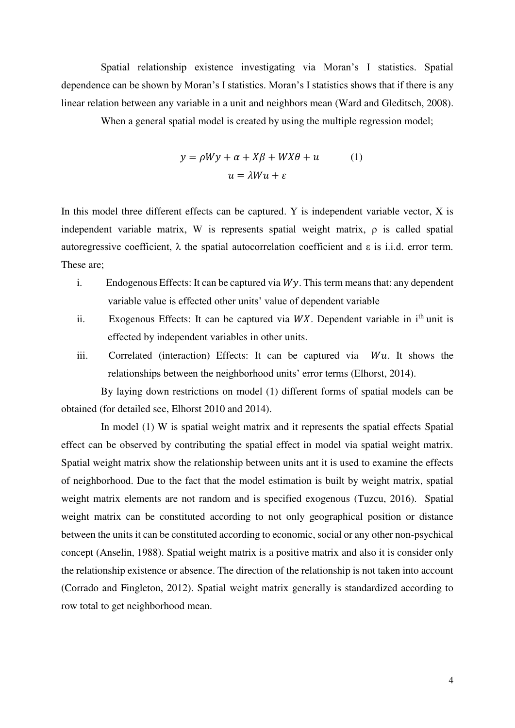Spatial relationship existence investigating via Moran's I statistics. Spatial dependence can be shown by Moran's I statistics. Moran's I statistics shows that if there is any linear relation between any variable in a unit and neighbors mean (Ward and Gleditsch, 2008).

When a general spatial model is created by using the multiple regression model;

$$
y = \rho Wy + \alpha + X\beta + WX\theta + u \qquad (1)
$$

$$
u = \lambda Wu + \varepsilon
$$

In this model three different effects can be captured. Y is independent variable vector, X is independent variable matrix, W is represents spatial weight matrix, ρ is called spatial autoregressive coefficient,  $\lambda$  the spatial autocorrelation coefficient and  $\varepsilon$  is i.i.d. error term. These are;

- i. Endogenous Effects: It can be captured via  $Wy$ . This term means that: any dependent variable value is effected other units' value of dependent variable
- ii. Exogenous Effects: It can be captured via  $WX$ . Dependent variable in i<sup>th</sup> unit is effected by independent variables in other units.
- iii. Correlated (interaction) Effects: It can be captured via  $Wu$ . It shows the relationships between the neighborhood units' error terms (Elhorst, 2014).

 By laying down restrictions on model (1) different forms of spatial models can be obtained (for detailed see, Elhorst 2010 and 2014).

 In model (1) W is spatial weight matrix and it represents the spatial effects Spatial effect can be observed by contributing the spatial effect in model via spatial weight matrix. Spatial weight matrix show the relationship between units ant it is used to examine the effects of neighborhood. Due to the fact that the model estimation is built by weight matrix, spatial weight matrix elements are not random and is specified exogenous (Tuzcu, 2016). Spatial weight matrix can be constituted according to not only geographical position or distance between the units it can be constituted according to economic, social or any other non-psychical concept (Anselin, 1988). Spatial weight matrix is a positive matrix and also it is consider only the relationship existence or absence. The direction of the relationship is not taken into account (Corrado and Fingleton, 2012). Spatial weight matrix generally is standardized according to row total to get neighborhood mean.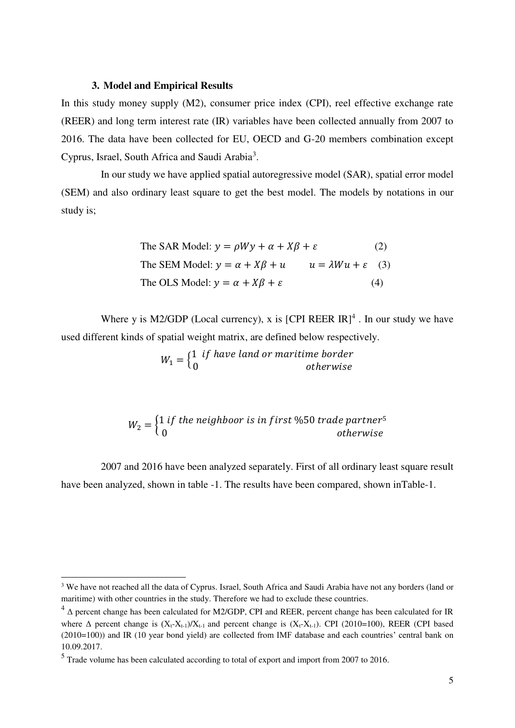#### **3. Model and Empirical Results**

In this study money supply (M2), consumer price index (CPI), reel effective exchange rate (REER) and long term interest rate (IR) variables have been collected annually from 2007 to 2016. The data have been collected for EU, OECD and G-20 members combination except Cyprus, Israel, South Africa and Saudi Arabia<sup>3</sup>.

 In our study we have applied spatial autoregressive model (SAR), spatial error model (SEM) and also ordinary least square to get the best model. The models by notations in our study is;

The SAR Model: 
$$
y = \rho Wy + \alpha + X\beta + \varepsilon
$$
 (2)  
The SEM Model:  $y = \alpha + X\beta + u$   $u = \lambda Wu + \varepsilon$  (3)  
The OLS Model:  $y = \alpha + X\beta + \varepsilon$  (4)

Where y is M2/GDP (Local currency), x is  $[CPI REER IR]<sup>4</sup>$ . In our study we have used different kinds of spatial weight matrix, are defined below respectively.

 $W_1 = \begin{cases} 1 & \text{if have land or martime border} \ 0 & \text{otherwise} \end{cases}$ 

$$
W_2 = \begin{cases} 1 \text{ if the neighbor is in first } \%50 \text{ trade partner}^5 \\ 0 \end{cases} \text{ otherwise}
$$

 2007 and 2016 have been analyzed separately. First of all ordinary least square result have been analyzed, shown in table -1. The results have been compared, shown inTable-1.

 $\overline{a}$ 

<sup>&</sup>lt;sup>3</sup> We have not reached all the data of Cyprus. Israel, South Africa and Saudi Arabia have not any borders (land or maritime) with other countries in the study. Therefore we had to exclude these countries.

<sup>4</sup> Δ percent change has been calculated for M2/GDP, CPI and REER, percent change has been calculated for IR where  $\Delta$  percent change is  $(X_t-X_{t-1})/X_{t-1}$  and percent change is  $(X_t-X_{t-1})$ . CPI (2010=100), REER (CPI based (2010=100)) and IR (10 year bond yield) are collected from IMF database and each countries' central bank on 10.09.2017.

 $<sup>5</sup>$  Trade volume has been calculated according to total of export and import from 2007 to 2016.</sup>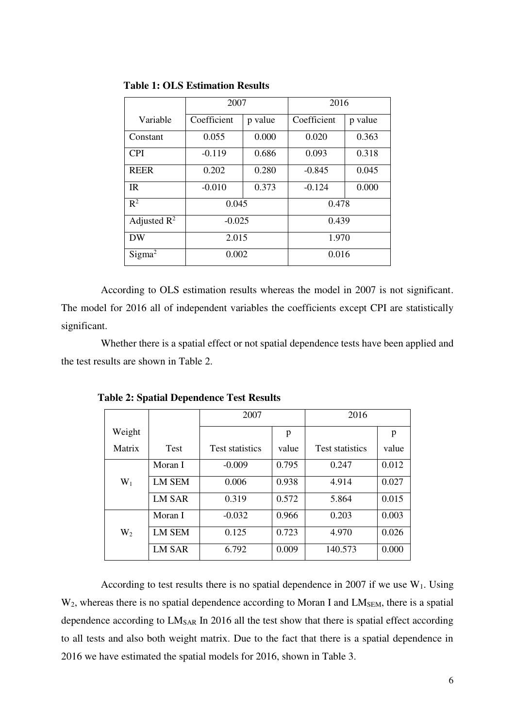|                         | 2007        |         | 2016        |         |  |  |
|-------------------------|-------------|---------|-------------|---------|--|--|
| Variable                | Coefficient | p value | Coefficient | p value |  |  |
| Constant                | 0.055       | 0.000   | 0.020       | 0.363   |  |  |
| <b>CPI</b>              | $-0.119$    | 0.686   | 0.093       | 0.318   |  |  |
| <b>REER</b>             | 0.202       | 0.280   | $-0.845$    | 0.045   |  |  |
| IR                      | $-0.010$    | 0.373   | $-0.124$    | 0.000   |  |  |
| $R^2$                   | 0.045       |         | 0.478       |         |  |  |
| Adjusted $\mathbb{R}^2$ | $-0.025$    |         | 0.439       |         |  |  |
| <b>DW</b>               | 2.015       |         | 1.970       |         |  |  |
| Sigma <sup>2</sup>      | 0.002       |         | 0.016       |         |  |  |

**Table 1: OLS Estimation Results** 

 According to OLS estimation results whereas the model in 2007 is not significant. The model for 2016 all of independent variables the coefficients except CPI are statistically significant.

 Whether there is a spatial effect or not spatial dependence tests have been applied and the test results are shown in Table 2.

|        |               | 2007                   |       | 2016                   |       |  |
|--------|---------------|------------------------|-------|------------------------|-------|--|
| Weight |               |                        | p     |                        | p     |  |
| Matrix | <b>Test</b>   | <b>Test statistics</b> | value | <b>Test statistics</b> | value |  |
|        | Moran I       | $-0.009$               | 0.795 | 0.247                  | 0.012 |  |
| $W_1$  | <b>LM SEM</b> | 0.006                  | 0.938 | 4.914                  | 0.027 |  |
|        | <b>LM SAR</b> | 0.319                  | 0.572 | 5.864                  | 0.015 |  |
|        | Moran I       | $-0.032$               | 0.966 | 0.203                  | 0.003 |  |
| $W_2$  | <b>LM SEM</b> | 0.125                  | 0.723 | 4.970                  | 0.026 |  |
|        | <b>LM SAR</b> | 6.792                  | 0.009 | 140.573                | 0.000 |  |

 **Table 2: Spatial Dependence Test Results** 

According to test results there is no spatial dependence in 2007 if we use  $W_1$ . Using  $W_2$ , whereas there is no spatial dependence according to Moran I and LM<sub>SEM</sub>, there is a spatial dependence according to LM<sub>SAR</sub> In 2016 all the test show that there is spatial effect according to all tests and also both weight matrix. Due to the fact that there is a spatial dependence in 2016 we have estimated the spatial models for 2016, shown in Table 3.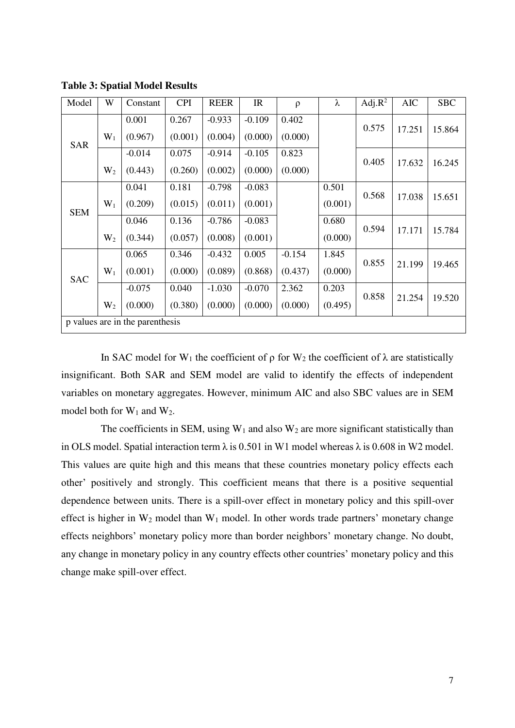| Model                           | W     | Constant | <b>CPI</b> | <b>REER</b> | IR       | $\rho$   | λ       | Adj. $R^2$ | <b>AIC</b> | <b>SBC</b> |
|---------------------------------|-------|----------|------------|-------------|----------|----------|---------|------------|------------|------------|
| <b>SAR</b>                      | $W_1$ | 0.001    | 0.267      | $-0.933$    | $-0.109$ | 0.402    | 0.575   |            | 17.251     | 15.864     |
|                                 |       | (0.967)  | (0.001)    | (0.004)     | (0.000)  | (0.000)  |         |            |            |            |
|                                 |       | $-0.014$ | 0.075      | $-0.914$    | $-0.105$ | 0.823    | 0.405   |            |            |            |
|                                 | $W_2$ | (0.443)  | (0.260)    | (0.002)     | (0.000)  | (0.000)  |         |            | 17.632     | 16.245     |
| <b>SEM</b>                      | $W_1$ | 0.041    | 0.181      | $-0.798$    | $-0.083$ |          | 0.501   | 0.568      | 17.038     | 15.651     |
|                                 |       | (0.209)  | (0.015)    | (0.011)     | (0.001)  |          | (0.001) |            |            |            |
|                                 |       | 0.046    | 0.136      | $-0.786$    | $-0.083$ |          | 0.680   | 0.594      |            |            |
|                                 | $W_2$ | (0.344)  | (0.057)    | (0.008)     | (0.001)  |          | (0.000) |            | 17.171     | 15.784     |
| <b>SAC</b>                      |       | 0.065    | 0.346      | $-0.432$    | 0.005    | $-0.154$ | 1.845   | 0.855      | 21.199     | 19.465     |
|                                 | $W_1$ | (0.001)  | (0.000)    | (0.089)     | (0.868)  | (0.437)  | (0.000) |            |            |            |
|                                 |       | $-0.075$ | 0.040      | $-1.030$    | $-0.070$ | 2.362    | 0.203   | 0.858      | 21.254     | 19.520     |
|                                 | $W_2$ | (0.000)  | (0.380)    | (0.000)     | (0.000)  | (0.000)  | (0.495) |            |            |            |
| p values are in the parenthesis |       |          |            |             |          |          |         |            |            |            |

**Table 3: Spatial Model Results** 

In SAC model for W<sub>1</sub> the coefficient of  $\rho$  for W<sub>2</sub> the coefficient of  $\lambda$  are statistically insignificant. Both SAR and SEM model are valid to identify the effects of independent variables on monetary aggregates. However, minimum AIC and also SBC values are in SEM model both for  $W_1$  and  $W_2$ .

The coefficients in SEM, using  $W_1$  and also  $W_2$  are more significant statistically than in OLS model. Spatial interaction term  $\lambda$  is 0.501 in W1 model whereas  $\lambda$  is 0.608 in W2 model. This values are quite high and this means that these countries monetary policy effects each other' positively and strongly. This coefficient means that there is a positive sequential dependence between units. There is a spill-over effect in monetary policy and this spill-over effect is higher in  $W_2$  model than  $W_1$  model. In other words trade partners' monetary change effects neighbors' monetary policy more than border neighbors' monetary change. No doubt, any change in monetary policy in any country effects other countries' monetary policy and this change make spill-over effect.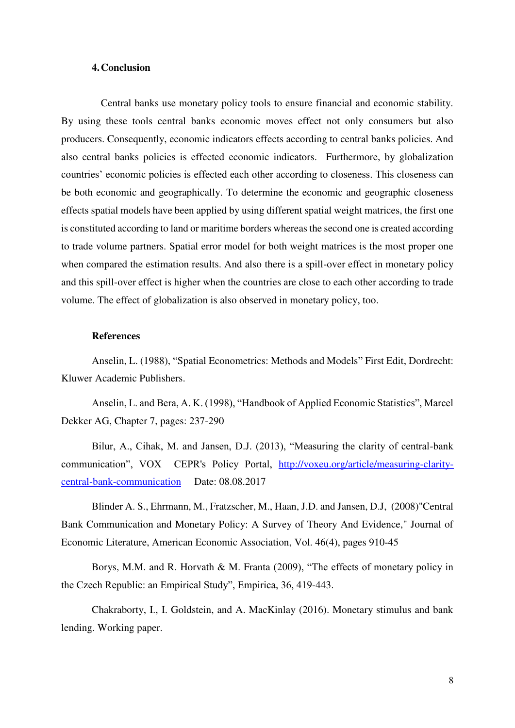# **4.Conclusion**

 Central banks use monetary policy tools to ensure financial and economic stability. By using these tools central banks economic moves effect not only consumers but also producers. Consequently, economic indicators effects according to central banks policies. And also central banks policies is effected economic indicators. Furthermore, by globalization countries' economic policies is effected each other according to closeness. This closeness can be both economic and geographically. To determine the economic and geographic closeness effects spatial models have been applied by using different spatial weight matrices, the first one is constituted according to land or maritime borders whereas the second one is created according to trade volume partners. Spatial error model for both weight matrices is the most proper one when compared the estimation results. And also there is a spill-over effect in monetary policy and this spill-over effect is higher when the countries are close to each other according to trade volume. The effect of globalization is also observed in monetary policy, too.

# **References**

Anselin, L. (1988), "Spatial Econometrics: Methods and Models" First Edit, Dordrecht: Kluwer Academic Publishers.

Anselin, L. and Bera, A. K. (1998), "Handbook of Applied Economic Statistics", Marcel Dekker AG, Chapter 7, pages: 237-290

Bilur, A., Cihak, M. and Jansen, D.J. (2013), "Measuring the clarity of central-bank communication", VOX CEPR's Policy Portal, [http://voxeu.org/article/measuring-clarity](http://voxeu.org/article/measuring-clarity-central-bank-communication)[central-bank-communication](http://voxeu.org/article/measuring-clarity-central-bank-communication) Date: 08.08.2017

Blinder A. S., Ehrmann, M., Fratzscher, M., Haan, J.D. and Jansen, D.J, (2008)"Central Bank Communication and Monetary Policy: A Survey of Theory And Evidence," Journal of Economic Literature, American Economic Association, Vol. 46(4), pages 910-45

Borys, M.M. and R. Horvath & M. Franta (2009), "The effects of monetary policy in the Czech Republic: an Empirical Study", Empirica, 36, 419-443.

Chakraborty, I., I. Goldstein, and A. MacKinlay (2016). Monetary stimulus and bank lending. Working paper.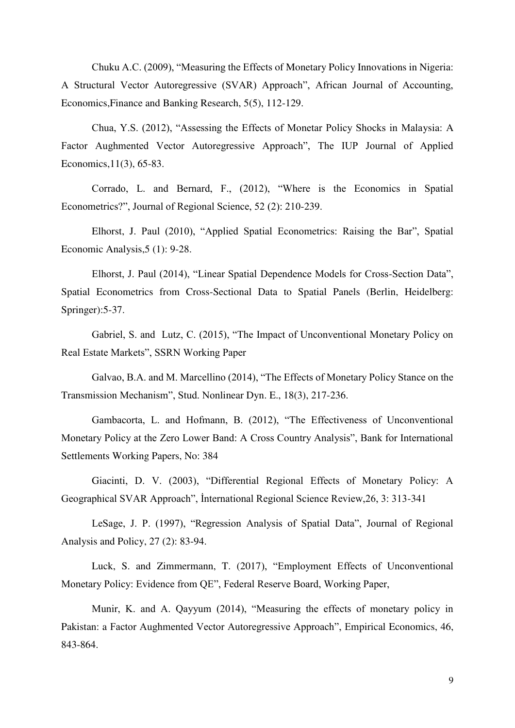Chuku A.C. (2009), "Measuring the Effects of Monetary Policy Innovations in Nigeria: A Structural Vector Autoregressive (SVAR) Approach", African Journal of Accounting, Economics,Finance and Banking Research, 5(5), 112-129.

Chua, Y.S. (2012), "Assessing the Effects of Monetar Policy Shocks in Malaysia: A Factor Aughmented Vector Autoregressive Approach", The IUP Journal of Applied Economics,11(3), 65-83.

Corrado, L. and Bernard, F., (2012), "Where is the Economics in Spatial Econometrics?", Journal of Regional Science, 52 (2): 210-239.

Elhorst, J. Paul (2010), "Applied Spatial Econometrics: Raising the Bar", Spatial Economic Analysis,5 (1): 9-28.

Elhorst, J. Paul (2014), "Linear Spatial Dependence Models for Cross-Section Data", Spatial Econometrics from Cross-Sectional Data to Spatial Panels (Berlin, Heidelberg: Springer):5-37.

Gabriel, S. and Lutz, C. (2015), "The Impact of Unconventional Monetary Policy on Real Estate Markets", SSRN Working Paper

Galvao, B.A. and M. Marcellino (2014), "The Effects of Monetary Policy Stance on the Transmission Mechanism", Stud. Nonlinear Dyn. E., 18(3), 217-236.

Gambacorta, L. and Hofmann, B. (2012), "The Effectiveness of Unconventional Monetary Policy at the Zero Lower Band: A Cross Country Analysis", Bank for International Settlements Working Papers, No: 384

Giacinti, D. V. (2003), "Differential Regional Effects of Monetary Policy: A Geographical SVAR Approach", İnternational Regional Science Review,26, 3: 313-341

LeSage, J. P. (1997), "Regression Analysis of Spatial Data", Journal of Regional Analysis and Policy, 27 (2): 83-94.

Luck, S. and Zimmermann, T. (2017), "Employment Effects of Unconventional Monetary Policy: Evidence from QE", Federal Reserve Board, Working Paper,

Munir, K. and A. Qayyum (2014), "Measuring the effects of monetary policy in Pakistan: a Factor Aughmented Vector Autoregressive Approach", Empirical Economics, 46, 843-864.